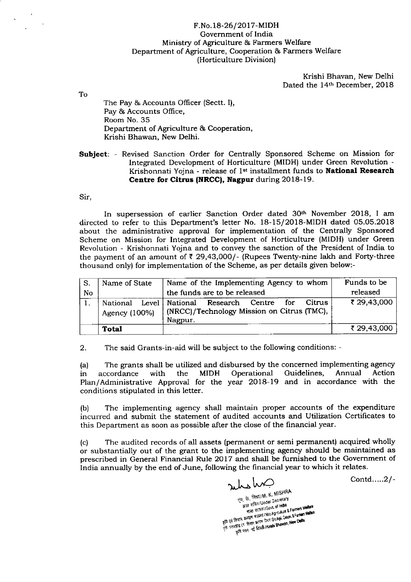## F.No.18-26/2017-MIDH Govemment of India Ministry of Agriculture & Farmers Welfare Department of Agriculture, Cooperation & Farmers Welfare (Horticulture Division)

Krishi Bhavan, New Delhi Dated the 14th December, 2018

To

The Pay & Accounts Officer (Sectt. I), Pay & Accounts Office, Room No. 35 Department of Agriculture & Cooperation, Krishi Bhawan, New Delhi.

Subject: - Revised Sanction Order for Centrally Sponsored Scheme on Mission for Integrated Development of Horticulture (MIDH) under Green Revolution - Krishonnati Yojna - release of 1<sup>st</sup> installment funds to **National Research** Centre for Citrus (NRCC), Nagpur during 2018-19.

Sir,

In supersession of earlier Sanction Order dated 30th November 2018, I am directed to refer to this Department's letter No. 18-15/2O18-MIDH dated 05.O5.2018 about the administrative approval for implementation of the Centrally Sponsored Scheme on Mission for Integrated Development of Horticulture (MIDH) under Green Revolution - Krishonnati Yojna and to convey the sanction of the President of India to the payment of an amount of  $\bar{\tau}$  29,43,000/- (Rupees Twenty-nine lakh and Forty-three thousand only) for implementation of the Scheme, as per details given below:-

| S. | Name of State             | Name of the Implementing Agency to whom                                                                           | Funds to be |
|----|---------------------------|-------------------------------------------------------------------------------------------------------------------|-------------|
| No |                           | the funds are to be released                                                                                      | released    |
|    | National<br>Agency (100%) | <b>Citrus</b><br>Level   National<br>Research Centre for<br>(NRCC)/Technology Mission on Citrus (TMC),<br>Nagpur. | ₹ 29,43,000 |
|    | Total                     |                                                                                                                   | ₹ 29,43,000 |

2. The said Grants-in-aid will be subject to the following conditions: -

(a) The grants shall be utilized and disbursed by the concerned implementing agency<br>in accordance with the MIDH Operational Guidelines, Annual Action in accordance with the MIDH Operational Guidelines, Annual Action Plan/Administrative Approval for the year 2018-19 and in accordance with the conditions stipulated in this letter.

(b) The implementing agency shall maintain proper accounts of the expenditure incurred and submit the statement of audited accounts and Utilization Certificates to this Department as soon as possible after the close of the financial year.

(c) The audited records of all assets (permanent or semi permanent) acquired wholly or substantially out of the grant to the implementing agency should be maintained as prescribed in General Financial Rule 2017 and shall be furnished to the Government of India annually by the end of June, following the financial year to which it relates.

riles hum एम, के. मिश्रा M. K. MISHRA<br>अवर सविव l'Under Secretary<br>अवर सविव l'Under Secretary<br>बार समान कर्माण मंत्रालय iMb Agroukure & Farmers Wester The country decision when I were the come of entity and the state of the state of the state of the state of the state of the state of the state of the state of the state of the state of the state of the state of the state

Contd.....2 / -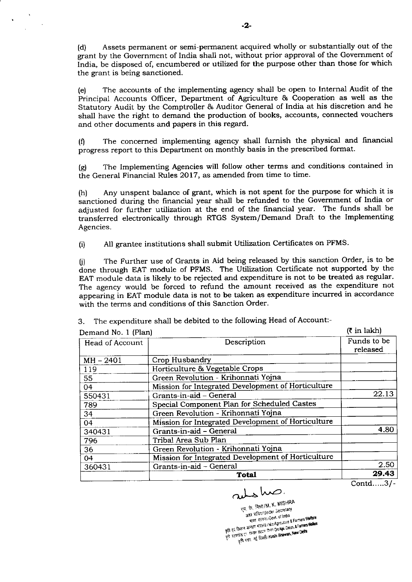(d) Assets permanent or semi-permanent acquired wholly or substantially out of the grant by the Government of India shall not, without prior approval of the Government of India, be disposed of, encumbered or utilized for the purpose other than those for which the grant is being sanctioned.

(e) The accounts of the implementing agency shall be open to Internal Audit of the Principal Accounts Officer, Department of Agriculture & Cooperation as well as the Statutory Audit by the Comptroller & Auditor General of India at his discretion and he shall have the right to demand the production of books, accounts, connected vouchers and other documents and papers in this regard.

(f) The concerned implementing agency shall furnish the physical and financial progress report to this Department on monthly basis in the prescribed format.

(g) The lmplementing Agencies will follow other terms and conditions contained in the General Financial Rules 2017, as amended from time to time.

(h) Any unspent balance of grant, which is not spent for the purpose for which it is sanctioned during the financial year shall be refunded to the Government of India or adjusted for further utilization at the end of the financial year. The funds shall be transferred electronically through RTGS System/Demand Draft to the Implementing Agencies.

(i) All grantee institutions shall submit Utilization Certificates on PFMS.

0) The Further use of Grants in Aid being released by this sanction Order, is to be done through EAT module of PFMS. The Utilization Certificate not supported by the EAT module data is likely to be rejected and expenditure is not to be treated as regular. The agency would be forced to refund the amount received as the expenditure not appearing in EAT module data is not to be taken as expenditure incurred in accordance with the terms and conditions of this Sanction Order.

| Demand No. 1 (Plan) | $(5$ in lakh)                                      |                         |
|---------------------|----------------------------------------------------|-------------------------|
| Head of Account     | Description                                        | Funds to be<br>released |
| $MH - 2401$         | Crop Husbandry                                     |                         |
| 119                 | Horticulture & Vegetable Crops                     |                         |
| 55                  | Green Revolution - Krihonnati Yojna                |                         |
| 04                  | Mission for Integrated Development of Horticulture |                         |
| 550431              | Grants-in-aid - General                            | 22.13                   |
| 789                 | Special Component Plan for Scheduled Castes        |                         |
| 34                  | Green Revolution - Krihonnati Yojna                |                         |
| 04                  | Mission for Integrated Development of Horticulture |                         |
| 340431              | Grants-in-aid - General                            | 4.80                    |
| 796                 | Tribal Area Sub Plan                               |                         |
| 36                  | Green Revolution - Krihonnati Yojna                |                         |
| 04                  | Mission for Integrated Development of Horticulture |                         |
| 360431              | Grants-in-aid - General                            | 2.50                    |
|                     | <b>Total</b>                                       | 29.43                   |

3. The expenditure shall be debited to the following Head of Account:-

Contd.....3/-

rulsho. <sub>访,</sub> 角知IM. K. MISHM ' \*\*, "". " \*\* सचिवा?Under Secretary<br>अवर सस्तिम?Govt. of India<br>मारत सम्तरमट I:Mo Agnouture & Farmers Welfare<br>कृषि एवं किसान कन्याण सत्रस्त्य iMo Agnouture & Farmers Welfare give very word worder waters a Mic Agriculture a Farmers Welfare